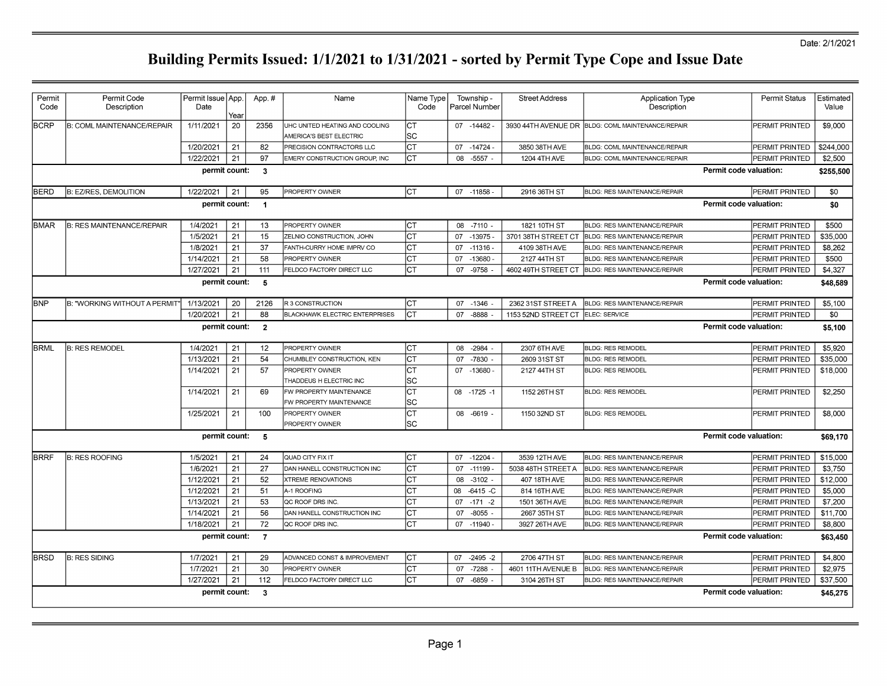#### Date: 2/1/2021

| Permit<br>Code | Permit Code<br>Description        | Permit Issue App.<br>Date | Year | App.#          | Name                                                      | Name Type<br>Code |    | Township -<br>Parcel Number | <b>Street Address</b> | <b>Application Type</b><br>Description            | <b>Permit Status</b>          | Estimated<br>Value |
|----------------|-----------------------------------|---------------------------|------|----------------|-----------------------------------------------------------|-------------------|----|-----------------------------|-----------------------|---------------------------------------------------|-------------------------------|--------------------|
| <b>BCRP</b>    | <b>B: COML MAINTENANCE/REPAIR</b> | 1/11/2021                 | 20   | 2356           | UHC UNITED HEATING AND COOLING<br>AMERICA'S BEST ELECTRIC | Іст<br>lsc        |    | 07 -14482                   |                       | 3930 44TH AVENUE DR BLDG: COML MAINTENANCE/REPAIR | PERMIT PRINTED                | \$9,000            |
|                |                                   | 1/20/2021                 | 21   | 82             | PRECISION CONTRACTORS LLC                                 | lст               |    | 07 - 14724                  | 3850 38TH AVE         | BLDG: COML MAINTENANCE/REPAIR                     | PERMIT PRINTED                | \$244,000          |
|                |                                   | 1/22/2021                 | 21   | 97             | EMERY CONSTRUCTION GROUP, INC                             | lст               |    | 08 -5557 -                  | 1204 4TH AVE          | <b>BLDG: COML MAINTENANCE/REPAIR</b>              | <b>PERMIT PRINTED</b>         | \$2,500            |
|                |                                   | permit count:             |      | $\mathbf{3}$   |                                                           |                   |    |                             |                       |                                                   | Permit code valuation:        | \$255,500          |
| BERD           | B: EZ/RES, DEMOLITION             | 1/22/2021                 | 21   | 95             | PROPERTY OWNER                                            | Iст               |    | 07 -11858 -                 | 2916 36TH ST          | BLDG: RES MAINTENANCE/REPAIR                      | PERMIT PRINTED                | \$0                |
|                |                                   | permit count:             |      | $\overline{1}$ |                                                           |                   |    |                             |                       |                                                   | Permit code valuation:        | \$0                |
| <b>BMAR</b>    | B: RES MAINTENANCE/REPAIR         | 1/4/2021                  | 21   | 13             | PROPERTY OWNER                                            | lст               |    | 08 -7110                    | 1821 10TH ST          | <b>BLDG: RES MAINTENANCE/REPAIR</b>               | PERMIT PRINTED                | \$500              |
|                |                                   | 1/5/2021                  | 21   | 15             | ZELNIO CONSTRUCTION, JOHN                                 | lст               |    | 07 -13975                   | 3701 38TH STREET CT   | BLDG: RES MAINTENANCE/REPAIR                      | PERMIT PRINTED                | \$35,000           |
|                |                                   | 1/8/2021                  | 21   | 37             | FANTH-CURRY HOME IMPRV CO                                 | Iст               |    | 07 -11316                   | 4109 38TH AVE         | BLDG: RES MAINTENANCE/REPAIR                      | PERMIT PRINTED                | \$8,262            |
|                |                                   | 1/14/2021                 | 21   | 58             | PROPERTY OWNER                                            | Iст               |    | 07 -13680                   | 2127 44TH ST          | BLDG: RES MAINTENANCE/REPAIR                      | PERMIT PRINTED                | \$500              |
|                |                                   | 1/27/2021                 | 21   | 111            | FELDCO FACTORY DIRECT LLC                                 | lст               |    | 07 -9758                    | 4602 49TH STREET CT   | <b>BLDG: RES MAINTENANCE/REPAIR</b>               | PERMIT PRINTED                | \$4,327            |
|                |                                   | permit count:             |      | 5              |                                                           |                   |    |                             |                       |                                                   | Permit code valuation:        | \$48,589           |
| <b>IBNP</b>    | B: "WORKING WITHOUT A PERMIT"     | 1/13/2021                 | 20   | 2126           | R 3 CONSTRUCTION                                          | Іст               |    | 07 -1346 -                  | 2362 31ST STREET A    | <b>BLDG: RES MAINTENANCE/REPAIR</b>               | PERMIT PRINTED                | \$5,100            |
|                |                                   | 1/20/2021                 | 21   | 88             | <b>BLACKHAWK ELECTRIC ENTERPRISES</b>                     | Iст               |    | 07 -8888                    | 1153 52ND STREET CT   | ELEC: SERVICE                                     | PERMIT PRINTED                | \$0                |
|                |                                   | permit count:             |      | $\overline{2}$ |                                                           |                   |    |                             |                       |                                                   | Permit code valuation:        | \$5,100            |
| <b>BRML</b>    | <b>B: RES REMODEL</b>             | 1/4/2021                  | 21   | 12             | PROPERTY OWNER                                            | Iст               |    | 08 -2984 -                  | 2307 6TH AVE          | <b>BLDG: RES REMODEL</b>                          | PERMIT PRINTED                | \$5,920            |
|                |                                   | 1/13/2021                 | 21   | 54             | CHUMBLEY CONSTRUCTION, KEN                                | Iст               |    | 07 -7830 -                  | 2609 31ST ST          | <b>BLDG: RES REMODEL</b>                          | PERMIT PRINTED                | \$35,000           |
|                |                                   | 1/14/2021                 | 21   | 57             | PROPERTY OWNER<br>THADDEUS H ELECTRIC INC                 | Iст<br>lsc        |    | 07 -13680                   | 2127 44TH ST          | <b>BLDG: RES REMODEL</b>                          | PERMIT PRINTED                | \$18,000           |
|                |                                   | 1/14/2021                 | 21   | 69             | FW PROPERTY MAINTENANCE<br>FW PROPERTY MAINTENANCE        | <b>CT</b><br> SC  |    | 08 -1725 -1                 | 1152 26TH ST          | <b>BLDG: RES REMODEL</b>                          | PERMIT PRINTED                | \$2,250            |
|                |                                   | 1/25/2021                 | 21   | 100            | PROPERTY OWNER<br>PROPERTY OWNER                          | lст<br>lsc        |    | 08 -6619 -                  | 1150 32ND ST          | <b>BLDG: RES REMODEL</b>                          | PERMIT PRINTED                | \$8,000            |
|                |                                   | permit count:             |      | 5              |                                                           |                   |    |                             |                       |                                                   | Permit code valuation:        | \$69,170           |
| <b>BRRF</b>    | <b>B: RES ROOFING</b>             | 1/5/2021                  | 21   | 24             | QUAD CITY FIX IT                                          | Iст               |    | 07 -12204 -                 | 3539 12TH AVE         | BLDG: RES MAINTENANCE/REPAIR                      | PERMIT PRINTED                | \$15,000           |
|                |                                   | 1/6/2021                  | 21   | 27             | DAN HANELL CONSTRUCTION INC                               | lст               | 07 | $-11199$                    | 5038 48TH STREET A    | BLDG: RES MAINTENANCE/REPAIR                      | PERMIT PRINTED                | \$3,750            |
|                |                                   | 1/12/2021                 | 21   | 52             | <b>XTREME RENOVATIONS</b>                                 | Iст               | 08 | $-3102$                     | 407 18TH AVE          | BLDG: RES MAINTENANCE/REPAIR                      | PERMIT PRINTED                | \$12,000           |
|                |                                   | 1/12/2021                 | 21   | 51             | A-1 ROOFING                                               | Iст               | 80 | $-6415 - C$                 | 814 16TH AVE          | BLDG: RES MAINTENANCE/REPAIR                      | PERMIT PRINTED                | \$5,000            |
|                |                                   | 1/13/2021                 | 21   | 53             | QC ROOF DRS INC.                                          | Iст               |    | $07 - 171 - 2$              | 1501 36TH AVE         | BLDG: RES MAINTENANCE/REPAIR                      | PERMIT PRINTED                | \$7,200            |
|                |                                   | 1/14/2021                 | 21   | 56             | DAN HANELL CONSTRUCTION INC                               | lст               | 07 | $-8055$ .                   | 2667 35TH ST          | BLDG: RES MAINTENANCE/REPAIR                      | PERMIT PRINTED                | \$11,700           |
|                |                                   | 1/18/2021                 | 21   | 72             | QC ROOF DRS INC.                                          | Iст               |    | 07 -11940                   | 3927 26TH AVE         | <b>BLDG: RES MAINTENANCE/REPAIR</b>               | PERMIT PRINTED                | \$8,800            |
|                |                                   | permit count:             |      | $\overline{7}$ |                                                           |                   |    |                             |                       |                                                   | Permit code valuation:        | \$63,450           |
| <b>BRSD</b>    | <b>B: RES SIDING</b>              | 1/7/2021                  | 21   | 29             | ADVANCED CONST & IMPROVEMENT                              | ICT               |    | 07 -2495 -2                 | 2706 47TH ST          | BLDG: RES MAINTENANCE/REPAIR                      | PERMIT PRINTED                | \$4,800            |
|                |                                   | 1/7/2021                  | 21   | 30             | PROPERTY OWNER                                            | lст               | 07 | $-7288$                     | 4601 11TH AVENUE B    | BLDG: RES MAINTENANCE/REPAIR                      | PERMIT PRINTED                | \$2,975            |
|                |                                   | 1/27/2021                 | 21   | 112            | FELDCO FACTORY DIRECT LLC                                 | lст               |    | 07 -6859 -                  | 3104 26TH ST          | <b>BLDG: RES MAINTENANCE/REPAIR</b>               | PERMIT PRINTED                | \$37,500           |
|                |                                   | permit count:             |      | 3              |                                                           |                   |    |                             |                       |                                                   | <b>Permit code valuation:</b> | \$45,275           |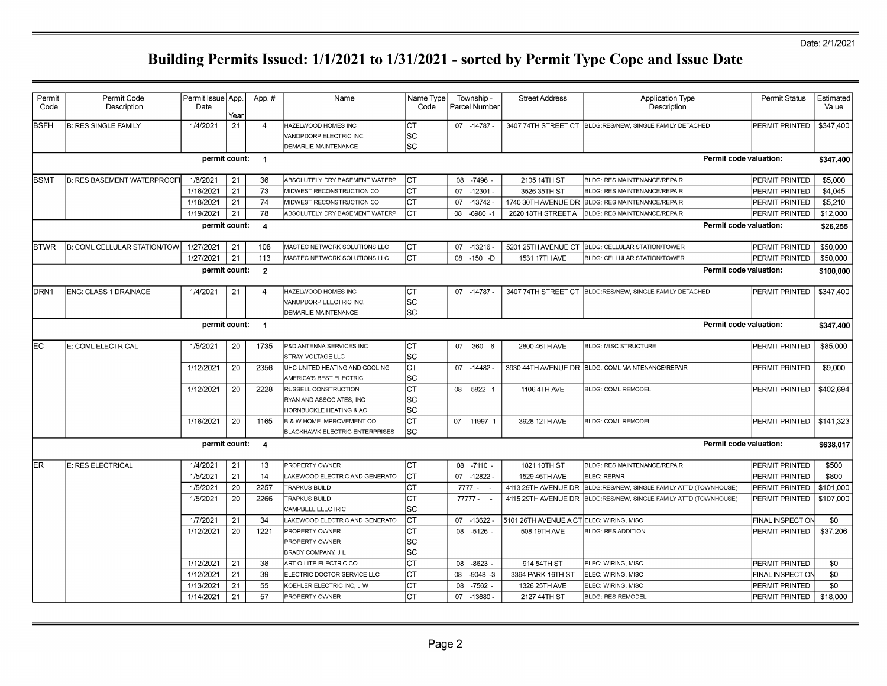#### Date: 2/1/2021

| Permit<br>Code | Permit Code<br>Description           | Permit Issue App.<br>Date |      | App.#          | Name                                  | Name Type<br>Code | Township -<br>Parcel Number | <b>Street Address</b>                    | <b>Application Type</b><br>Description                            | <b>Permit Status</b>   | Estimated<br>Value |
|----------------|--------------------------------------|---------------------------|------|----------------|---------------------------------------|-------------------|-----------------------------|------------------------------------------|-------------------------------------------------------------------|------------------------|--------------------|
|                |                                      |                           | Year |                |                                       |                   |                             |                                          |                                                                   |                        |                    |
| <b>BSFH</b>    | <b>B: RES SINGLE FAMILY</b>          | 1/4/2021                  | 21   | $\overline{4}$ | HAZELWOOD HOMES INC                   | Iст               | 07 -14787                   |                                          | 3407 74TH STREET CT  BLDG:RES/NEW, SINGLE FAMILY DETACHED         | PERMIT PRINTED         | \$347,400          |
|                |                                      |                           |      |                | VANOPDORP ELECTRIC INC.               | SC                |                             |                                          |                                                                   |                        |                    |
|                |                                      |                           |      |                | <b>DEMARLIE MAINTENANCE</b>           | lsc               |                             |                                          |                                                                   |                        |                    |
|                |                                      | permit count:             |      | $\overline{1}$ |                                       |                   |                             |                                          |                                                                   | Permit code valuation: | \$347,400          |
| <b>BSMT</b>    | <b>B: RES BASEMENT WATERPROOF</b>    | 1/8/2021                  | 21   | 36             | ABSOLUTELY DRY BASEMENT WATERP        | lст               | $-7496$<br>08               | 2105 14TH ST                             | BLDG: RES MAINTENANCE/REPAIR                                      | PERMIT PRINTED         | \$5,000            |
|                |                                      | 1/18/2021                 | 21   | 73             | MIDWEST RECONSTRUCTION CO             | Iст               | 07 -12301                   | 3526 35TH ST                             | <b>BLDG: RES MAINTENANCE/REPAIR</b>                               | PERMIT PRINTED         | \$4,045            |
|                |                                      | 1/18/2021                 | 21   | 74             | MIDWEST RECONSTRUCTION CO             | Iст               | $-13742$<br>07              |                                          | 1740 30TH AVENUE DR BLDG: RES MAINTENANCE/REPAIR                  | PERMIT PRINTED         | \$5,210            |
|                |                                      | 1/19/2021                 | 21   | 78             | ABSOLUTELY DRY BASEMENT WATERP        | Iст               | $-6980 - 1$<br>08           | 2620 18TH STREET A                       | <b>BLDG: RES MAINTENANCE/REPAIR</b>                               | PERMIT PRINTED         | \$12,000           |
|                |                                      | permit count:             |      | $\overline{4}$ |                                       |                   |                             |                                          |                                                                   | Permit code valuation: | \$26,255           |
| <b>BTWR</b>    | <b>B: COML CELLULAR STATION/TOWI</b> | 1/27/2021                 | 21   | 108            | MASTEC NETWORK SOLUTIONS LLC          | lст               | 07 -13216                   | 5201 25TH AVENUE CT                      | <b>BLDG: CELLULAR STATION/TOWER</b>                               | PERMIT PRINTED         | \$50,000           |
|                |                                      | 1/27/2021                 | 21   | 113            | MASTEC NETWORK SOLUTIONS LLC          | Iст               | 08<br>$-150 - D$            | 1531 17TH AVE                            | BLDG: CELLULAR STATION/TOWER                                      | PERMIT PRINTED         | \$50,000           |
|                |                                      | permit count:             |      | $\overline{2}$ |                                       |                   |                             |                                          |                                                                   | Permit code valuation: | \$100,000          |
|                |                                      |                           |      |                |                                       |                   |                             |                                          |                                                                   |                        |                    |
| DRN1           | ENG: CLASS 1 DRAINAGE                | 1/4/2021                  | 21   | $\overline{4}$ | HAZELWOOD HOMES INC                   | Iст               | 07 -14787                   |                                          | 3407 74TH STREET CT BLDG:RES/NEW, SINGLE FAMILY DETACHED          | PERMIT PRINTED         | \$347,400          |
|                |                                      |                           |      |                | VANOPDORP ELECTRIC INC.               | SC                |                             |                                          |                                                                   |                        |                    |
|                |                                      |                           |      |                | <b>DEMARLIE MAINTENANCE</b>           | lsc               |                             |                                          |                                                                   |                        |                    |
|                |                                      | permit count:             |      | $\overline{1}$ |                                       |                   |                             |                                          |                                                                   | Permit code valuation: | \$347,400          |
| IEC            | E: COML ELECTRICAL                   | 1/5/2021                  | 20   | 1735           | P&D ANTENNA SERVICES INC              | Iст               | 07 - 360 - 6                | 2800 46TH AVE                            | <b>BLDG: MISC STRUCTURE</b>                                       | PERMIT PRINTED         | \$85,000           |
|                |                                      |                           |      |                | STRAY VOLTAGE LLC                     | SC                |                             |                                          |                                                                   |                        |                    |
|                |                                      | 1/12/2021                 | 20   | 2356           | UHC UNITED HEATING AND COOLING        | Iст               | 07 -14482                   |                                          | 3930 44TH AVENUE DR BLDG: COML MAINTENANCE/REPAIR                 | PERMIT PRINTED         | \$9,000            |
|                |                                      |                           |      |                | AMERICA'S BEST ELECTRIC               | lsc               |                             |                                          |                                                                   |                        |                    |
|                |                                      | 1/12/2021                 | 20   | 2228           | RUSSELL CONSTRUCTION                  | lст               | 08 -5822 -1                 | 1106 4TH AVE                             | <b>BLDG: COML REMODEL</b>                                         | PERMIT PRINTED         | \$402,694          |
|                |                                      |                           |      |                | RYAN AND ASSOCIATES, INC              | SC                |                             |                                          |                                                                   |                        |                    |
|                |                                      |                           |      |                | HORNBUCKLE HEATING & AC               | lsc               |                             |                                          |                                                                   |                        |                    |
|                |                                      | 1/18/2021                 | 20   | 1165           | <b>B &amp; W HOME IMPROVEMENT CO</b>  | Iст               | 07 -11997 -1                | 3928 12TH AVE                            | <b>BLDG: COML REMODEL</b>                                         | PERMIT PRINTED         | \$141,323          |
|                |                                      |                           |      |                | <b>BLACKHAWK ELECTRIC ENTERPRISES</b> | lsc               |                             |                                          |                                                                   |                        |                    |
|                |                                      | permit count:             |      | $\overline{4}$ |                                       |                   |                             |                                          |                                                                   | Permit code valuation: | \$638,017          |
| ER             | E: RES ELECTRICAL                    | 1/4/2021                  | 21   | 13             | PROPERTY OWNER                        | lст               | 08 -7110 -                  | 1821 10TH ST                             | BLDG: RES MAINTENANCE/REPAIR                                      | PERMIT PRINTED         | \$500              |
|                |                                      | 1/5/2021                  | 21   | 14             | AKEWOOD ELECTRIC AND GENERATO         | Iст               | 07 -12822 -                 | 1529 46TH AVE                            | ELEC: REPAIR                                                      | PERMIT PRINTED         | \$800              |
|                |                                      | 1/5/2021                  | 20   | 2257           | <b>TRAPKUS BUILD</b>                  | Iст               | $7777 -$                    |                                          | 4113 29TH AVENUE DR BLDG:RES/NEW, SINGLE FAMILY ATTD (TOWNHOUSE)  | PERMIT PRINTED         | \$101,000          |
|                |                                      | 1/5/2021                  | 20   | 2266           | TRAPKUS BUILD                         | Iст               | $77777 -$                   |                                          | 4115 29TH AVENUE DR BLDG: RES/NEW, SINGLE FAMILY ATTD (TOWNHOUSE) | PERMIT PRINTED         | \$107,000          |
|                |                                      |                           |      |                | CAMPBELL ELECTRIC                     | lsc               |                             |                                          |                                                                   |                        |                    |
|                |                                      | 1/7/2021                  | 21   | 34             | AKEWOOD ELECTRIC AND GENERATO         | lст               | 07 -13622                   | 5101 26TH AVENUE A CT ELEC: WIRING, MISC |                                                                   | FINAL INSPECTION       | \$0                |
|                |                                      | 1/12/2021                 | 20   | 1221           | PROPERTY OWNER                        | Iст               | 08 -5126 -                  | 508 19TH AVE                             | <b>BLDG: RES ADDITION</b>                                         | PERMIT PRINTED         | \$37,206           |
|                |                                      |                           |      |                | <b>PROPERTY OWNER</b>                 | SC                |                             |                                          |                                                                   |                        |                    |
|                |                                      |                           |      |                | BRADY COMPANY, J L                    | SC                |                             |                                          |                                                                   |                        |                    |
|                |                                      | 1/12/2021                 | 21   | 38             | ART-O-LITE ELECTRIC CO                | Iст               | 08<br>$-8623$               | 914 54TH ST                              | ELEC: WIRING, MISC                                                | PERMIT PRINTED         | \$0                |
|                |                                      | 1/12/2021                 | 21   | 39             | ELECTRIC DOCTOR SERVICE LLC           | Iст               | 08<br>$-9048 - 3$           | 3364 PARK 16TH ST                        | ELEC: WIRING, MISC                                                | FINAL INSPECTION       | \$0                |
|                |                                      | 1/13/2021                 | 21   | 55             | KOEHLER ELECTRIC INC, J W             | Iст               | 08 -7562 -                  | 1326 25TH AVE                            | ELEC: WIRING, MISC                                                | PERMIT PRINTED         | \$0                |
|                |                                      | 1/14/2021                 | 21   | 57             | PROPERTY OWNER                        | Iст               | 07 -13680                   | 2127 44TH ST                             | <b>BLDG: RES REMODEL</b>                                          | PERMIT PRINTED         | \$18,000           |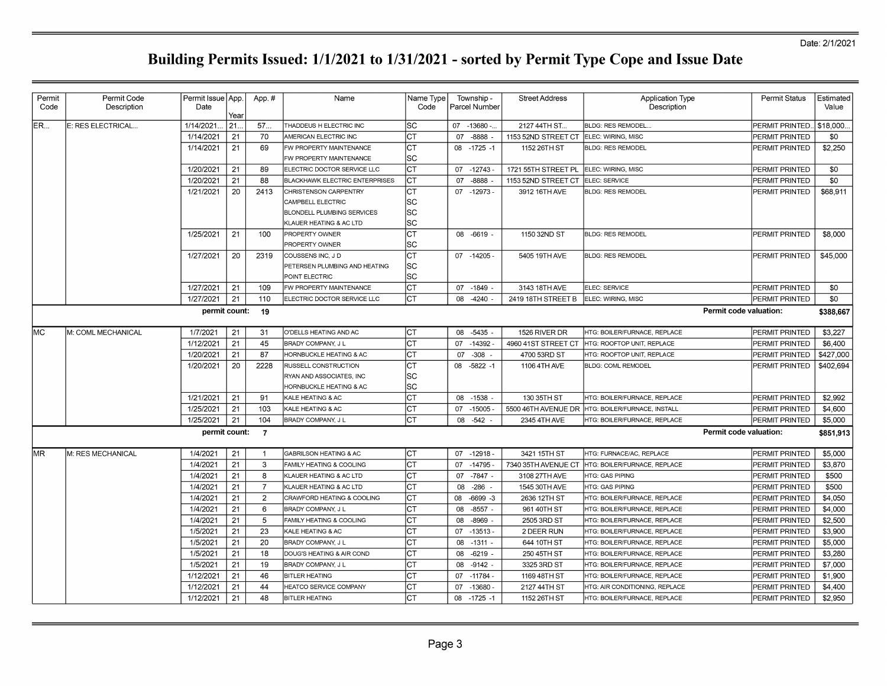| Permit<br>Code | Permit Code<br>Description | Permit Issue   App.<br>Date |      | App.#          | Name                                                         | Name Type  <br>Code |    | Township -<br>Parcel Number | <b>Street Address</b>                  | <b>Application Type</b><br>Description           | <b>Permit Status</b>  | Estimated<br>Value |
|----------------|----------------------------|-----------------------------|------|----------------|--------------------------------------------------------------|---------------------|----|-----------------------------|----------------------------------------|--------------------------------------------------|-----------------------|--------------------|
|                |                            |                             | Year |                |                                                              |                     |    |                             |                                        |                                                  |                       |                    |
| IER…           | E: RES ELECTRICAL          | 1/14/2021                   | 21.  | 57             | THADDEUS H ELECTRIC INC                                      | lsc                 |    | 07 -13680 -                 | 2127 44TH ST                           | <b>BLDG: RES REMODEL.</b>                        | PERMIT PRINTED        | \$18,000           |
|                |                            | 1/14/2021                   | 21   | 70             | AMERICAN ELECTRIC INC                                        | IСТ                 |    | 07 -8888                    | 1153 52ND STREET CT ELEC: WIRING, MISC |                                                  | PERMIT PRINTED        | \$0                |
|                |                            | 1/14/2021                   | 21   | 69             | FW PROPERTY MAINTENANCE                                      | Iст                 |    | 08 -1725 -1                 | 1152 26TH ST                           | <b>BLDG: RES REMODEL</b>                         | <b>PERMIT PRINTED</b> | \$2,250            |
|                |                            |                             |      |                | FW PROPERTY MAINTENANCE                                      | lsc                 |    |                             |                                        |                                                  |                       |                    |
|                |                            | 1/20/2021                   | 21   | 89             | ELECTRIC DOCTOR SERVICE LLC                                  | Iст                 |    | 07 - 12743                  | 1721 55TH STREET PL                    | ELEC: WIRING, MISC                               | <b>PERMIT PRINTED</b> | \$0                |
|                |                            | 1/20/2021                   | 21   | 88             | <b>BLACKHAWK ELECTRIC ENTERPRISES</b>                        | СT                  | 07 | $-8888$                     | 1153 52ND STREET CT                    | ELEC: SERVICE                                    | PERMIT PRINTED        | \$0                |
|                |                            | 1/21/2021                   | 20   | 2413           | CHRISTENSON CARPENTRY                                        | Iст                 |    | 07 -12973 -                 | 3912 16TH AVE                          | <b>BLDG: RES REMODEL</b>                         | PERMIT PRINTED        | \$68,911           |
|                |                            |                             |      |                | <b>CAMPBELL ELECTRIC</b>                                     | lsc                 |    |                             |                                        |                                                  |                       |                    |
|                |                            |                             |      |                | <b>BLONDELL PLUMBING SERVICES</b><br>KLAUER HEATING & AC LTD | lsc<br>lsc          |    |                             |                                        |                                                  |                       |                    |
|                |                            |                             | 21   |                |                                                              |                     |    |                             |                                        |                                                  |                       |                    |
|                |                            | 1/25/2021                   |      | 100            | <b>PROPERTY OWNER</b>                                        | Iст<br>lsc          |    | 08 -6619 -                  | 1150 32ND ST                           | <b>BLDG: RES REMODEL</b>                         | PERMIT PRINTED        | \$8,000            |
|                |                            |                             |      |                | PROPERTY OWNER                                               |                     |    |                             |                                        |                                                  |                       |                    |
|                |                            | 1/27/2021                   | 20   | 2319           | COUSSENS INC, J D                                            | Iст                 |    | $07 - 14205$                | 5405 19TH AVE                          | <b>BLDG: RES REMODEL</b>                         | PERMIT PRINTED        | \$45,000           |
|                |                            |                             |      |                | PETERSEN PLUMBING AND HEATING<br>POINT ELECTRIC              | lsc<br>lsc          |    |                             |                                        |                                                  |                       |                    |
|                |                            | 1/27/2021                   | 21   | 109            | FW PROPERTY MAINTENANCE                                      | lст                 |    | $07 - 1849$                 | 3143 18TH AVE                          | ELEC: SERVICE                                    | <b>PERMIT PRINTED</b> | \$0                |
|                |                            | 1/27/2021                   | 21   | 110            | ELECTRIC DOCTOR SERVICE LLC                                  | Iст                 |    | 08 -4240                    |                                        | ELEC: WIRING, MISC                               |                       | \$0                |
|                |                            |                             |      |                |                                                              |                     |    |                             | 2419 18TH STREET B                     |                                                  | PERMIT PRINTED        |                    |
|                |                            | permit count:               |      | 19             |                                                              |                     |    |                             |                                        | Permit code valuation:                           |                       | \$388.667          |
| IMC.           | M: COML MECHANICAL         | 1/7/2021                    | 21   | 31             | O'DELLS HEATING AND AC                                       | Iст                 |    | 08 -5435 -                  | 1526 RIVER DR                          | HTG: BOILER/FURNACE, REPLACE                     | <b>PERMIT PRINTED</b> | \$3.227            |
|                |                            | 1/12/2021                   | 21   | 45             | <b>BRADY COMPANY, J L</b>                                    | lст                 |    | 07 -14392                   | 4960 41ST STREET CT                    | HTG: ROOFTOP UNIT, REPLACE                       | PERMIT PRINTED        | \$6,400            |
|                |                            | 1/20/2021                   | 21   | 87             | HORNBUCKLE HEATING & AC                                      | Iст                 | 07 | $-308$                      | 4700 53RD ST                           | HTG: ROOFTOP UNIT, REPLACE                       | PERMIT PRINTED        | \$427,000          |
|                |                            | 1/20/2021                   | 20   | 2228           | RUSSELL CONSTRUCTION                                         | Iст                 |    | 08 -5822 -1                 | 1106 4TH AVE                           | <b>BLDG: COML REMODEL</b>                        | PERMIT PRINTED        | \$402,694          |
|                |                            |                             |      |                | RYAN AND ASSOCIATES, INC                                     | lsc                 |    |                             |                                        |                                                  |                       |                    |
|                |                            |                             |      |                | HORNBUCKLE HEATING & AC                                      | SC                  |    |                             |                                        |                                                  |                       |                    |
|                |                            | 1/21/2021                   | 21   | 91             | KALE HEATING & AC                                            | Iст                 |    | 08 -1538 -                  | 130 35TH ST                            | HTG: BOILER/FURNACE, REPLACE                     | PERMIT PRINTED        | \$2,992            |
|                |                            | 1/25/2021                   | 21   | 103            | KALE HEATING & AC                                            | Iст                 |    | 07 -15005                   |                                        | 5500 46TH AVENUE DR HTG: BOILER/FURNACE, INSTALL | PERMIT PRINTED        | \$4,600            |
|                |                            | 1/25/2021                   | 21   | 104            | BRADY COMPANY. J L                                           | Iст                 | 08 | $-542 -$                    | 2345 4TH AVE                           | HTG: BOILER/FURNACE, REPLACE                     | PERMIT PRINTED        | \$5,000            |
|                |                            | permit count:               |      | $\overline{7}$ |                                                              |                     |    |                             |                                        | Permit code valuation:                           |                       | \$851,913          |
| lMR.           | M: RES MECHANICAL          | 1/4/2021                    | 21   | -1             | <b>GABRILSON HEATING &amp; AC</b>                            | Iст                 |    | 07 -12918 -                 | 3421 15TH ST                           | HTG: FURNACE/AC, REPLACE                         | PERMIT PRINTED        | \$5,000            |
|                |                            | 1/4/2021                    | 21   | 3              | <b>FAMILY HEATING &amp; COOLING</b>                          | Iст                 |    | 07 -14795                   |                                        | 7340 35TH AVENUE CT HTG: BOILER/FURNACE, REPLACE | PERMIT PRINTED        | \$3,870            |
|                |                            | 1/4/2021                    | 21   | 8              | KLAUER HEATING & AC LTD                                      | Iст                 |    | 07 - 7847 -                 | 3108 27TH AVE                          | <b>HTG: GAS PIPING</b>                           | PERMIT PRINTED        | \$500              |
|                |                            | 1/4/2021                    | 21   | $\overline{7}$ | KLAUER HEATING & AC LTD                                      | lст                 | 08 | -286                        | 1545 30TH AVE                          | <b>HTG: GAS PIPING</b>                           | PERMIT PRINTED        | \$500              |
|                |                            | 1/4/2021                    | 21   | 2              | CRAWFORD HEATING & COOLING                                   | Iст                 | 08 | $-6699 -3$                  | 2636 12TH ST                           | HTG: BOILER/FURNACE, REPLACE                     | PERMIT PRINTED        | \$4,050            |
|                |                            | 1/4/2021                    | 21   | 6              | <b>BRADY COMPANY, J L</b>                                    | СT                  | 08 | $-8557 -$                   | 961 40TH ST                            | HTG: BOILER/FURNACE, REPLACE                     | PERMIT PRINTED        | \$4,000            |
|                |                            | 1/4/2021                    | 21   | 5              | FAMILY HEATING & COOLING                                     | СT                  | 08 | $-8969$                     | 2505 3RD ST                            | HTG: BOILER/FURNACE, REPLACE                     | PERMIT PRINTED        | \$2,500            |
|                |                            | 1/5/2021                    | 21   | 23             | KALE HEATING & AC                                            | Iст                 |    | 07 -13513 -                 | 2 DEER RUN                             | HTG: BOILER/FURNACE, REPLACE                     | PERMIT PRINTED        | \$3,900            |
|                |                            | 1/5/2021                    | 21   | 20             | BRADY COMPANY. J L                                           | CТ                  |    | 08 -1311 -                  | 644 10TH ST                            | HTG: BOILER/FURNACE, REPLACE                     | PERMIT PRINTED        | \$5,000            |
|                |                            | 1/5/2021                    | 21   | 18             | DOUG'S HEATING & AIR COND                                    | СT                  | 08 | -6219                       | 250 45TH ST                            | HTG: BOILER/FURNACE, REPLACE                     | PERMIT PRINTED        | \$3,280            |
|                |                            | 1/5/2021                    | 21   | 19             | BRADY COMPANY, J L                                           | IСТ                 |    | 08 -9142                    | 3325 3RD ST                            | HTG: BOILER/FURNACE, REPLACE                     | PERMIT PRINTED        | \$7,000            |
|                |                            | 1/12/2021                   | 21   | 46             | <b>BITLER HEATING</b>                                        | СT                  |    | 07 - 11784                  | 1169 48TH ST                           | HTG: BOILER/FURNACE, REPLACE                     | PERMIT PRINTED        | \$1,900            |
|                |                            | 1/12/2021                   | 21   | 44             | HEATCO SERVICE COMPANY                                       | IСТ                 |    | 07 -13680                   | 2127 44TH ST                           | HTG: AIR CONDITIONING, REPLACE                   | PERMIT PRINTED        | \$4,400            |
|                |                            | 1/12/2021                   | 21   | 48             | <b>BITLER HEATING</b>                                        | Iст                 |    | 08 -1725 -1                 | 1152 26TH ST                           | HTG: BOILER/FURNACE, REPLACE                     | PERMIT PRINTED        | \$2,950            |
|                |                            |                             |      |                |                                                              |                     |    |                             |                                        |                                                  |                       |                    |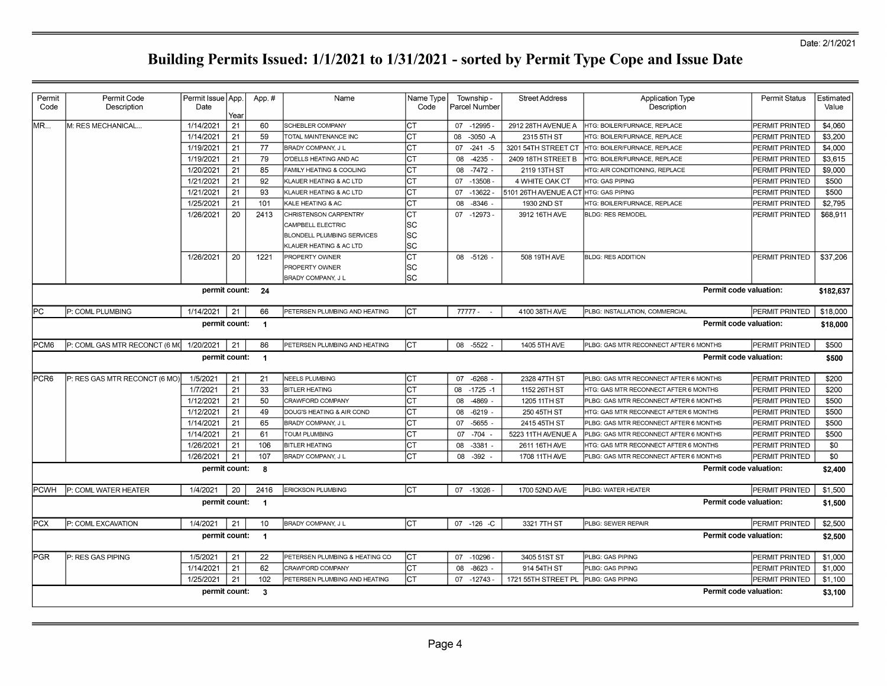| Permit<br>Code | Permit Code<br>Description                                         | Permit Issue   App.<br>Date | Year | App.#          | Name                              | Name Type<br>Code | Township -<br>l Parcel Number | <b>Street Address</b>                 | <b>Application Type</b><br>Description | <b>Permit Status</b>  | Estimated<br>Value |  |
|----------------|--------------------------------------------------------------------|-----------------------------|------|----------------|-----------------------------------|-------------------|-------------------------------|---------------------------------------|----------------------------------------|-----------------------|--------------------|--|
| MR             | M: RES MECHANICAL                                                  | 1/14/2021                   | 21   | 60             | SCHEBLER COMPANY                  | lст               | 07 -12995                     | 2912 28TH AVENUE A                    | HTG: BOILER/FURNACE, REPLACE           | PERMIT PRINTED        | \$4,060            |  |
|                |                                                                    | 1/14/2021                   | 21   | 59             | TOTAL MAINTENANCE INC             | IСТ               | 08 -3050 -A                   | 2315 5TH ST                           | HTG: BOILER/FURNACE, REPLACE           | PERMIT PRINTED        | \$3,200            |  |
|                |                                                                    | 1/19/2021                   | 21   | 77             | <b>BRADY COMPANY, J L</b>         | Iст               | 07<br>$-241 - 5$              | 3201 54TH STREET CT                   | HTG: BOILER/FURNACE, REPLACE           | PERMIT PRINTED        | \$4,000            |  |
|                |                                                                    | 1/19/2021                   | 21   | 79             | O'DELLS HEATING AND AC            | IСТ               | $-4235$<br>08                 | 2409 18TH STREET B                    | HTG: BOILER/FURNACE, REPLACE           | PERMIT PRINTED        | \$3,615            |  |
|                |                                                                    | 1/20/2021                   | 21   | 85             | FAMILY HEATING & COOLING          | IСТ               | 08 - 7472 -                   | 2119 13TH ST                          | HTG: AIR CONDITIONING, REPLACE         | <b>PERMIT PRINTED</b> | \$9,000            |  |
|                |                                                                    | 1/21/2021                   | 21   | 92             | KLAUER HEATING & AC LTD           | Iст               | 07 -13508                     | 4 WHITE OAK CT                        | <b>HTG: GAS PIPING</b>                 | PERMIT PRINTED        | \$500              |  |
|                |                                                                    | 1/21/2021                   | 21   | 93             | KLAUER HEATING & AC LTD           | Iст               | 07 -13622                     | 5101 26TH AVENUE A CT HTG: GAS PIPING |                                        | PERMIT PRINTED        | \$500              |  |
|                |                                                                    | 1/25/2021                   | 21   | 101            | KALE HEATING & AC                 | Iст               | $-8346$<br>08                 | 1930 2ND ST                           | HTG: BOILER/FURNACE, REPLACE           | PERMIT PRINTED        | \$2,795            |  |
|                |                                                                    | 1/26/2021                   | 20   | 2413           | CHRISTENSON CARPENTRY             | Iст               | 07 -12973 -                   | 3912 16TH AVE                         | <b>BLDG: RES REMODEL</b>               | PERMIT PRINTED        | \$68,911           |  |
|                |                                                                    |                             |      |                | CAMPBELL ELECTRIC                 | SC                |                               |                                       |                                        |                       |                    |  |
|                |                                                                    |                             |      |                | <b>BLONDELL PLUMBING SERVICES</b> | lsc               |                               |                                       |                                        |                       |                    |  |
|                |                                                                    |                             |      |                | KLAUER HEATING & AC LTD           | SC                |                               |                                       |                                        |                       |                    |  |
|                |                                                                    | 1/26/2021                   | 20   | 1221           | PROPERTY OWNER                    | Iст               | 08 -5126 -                    | 508 19TH AVE                          | <b>BLDG: RES ADDITION</b>              | PERMIT PRINTED        | \$37,206           |  |
|                |                                                                    |                             |      |                | PROPERTY OWNER                    | SC                |                               |                                       |                                        |                       |                    |  |
|                |                                                                    |                             |      |                | <b>BRADY COMPANY, J L</b>         | SC                |                               |                                       |                                        |                       |                    |  |
|                |                                                                    | permit count:               |      | 24             |                                   |                   |                               |                                       | Permit code valuation:                 |                       | \$182.637          |  |
| lРC            | P: COML PLUMBING                                                   | 1/14/2021                   | 21   | 66             | PETERSEN PLUMBING AND HEATING     | Iст               | 77777 -                       | 4100 38TH AVE                         | PLBG: INSTALLATION, COMMERCIAL         | PERMIT PRINTED        | \$18,000           |  |
|                |                                                                    | permit count:               |      | $\overline{1}$ |                                   |                   |                               |                                       | Permit code valuation:                 |                       | \$18,000           |  |
| PCM6           | P: COML GAS MTR RECONCT (6 M(                                      | 1/20/2021                   | 21   | 86             | PETERSEN PLUMBING AND HEATING     | lст               | 08 -5522                      | 1405 5TH AVE                          | PLBG: GAS MTR RECONNECT AFTER 6 MONTHS | PERMIT PRINTED        | \$500              |  |
|                |                                                                    | permit count:               |      | $\overline{1}$ |                                   |                   |                               |                                       | Permit code valuation:                 |                       | \$500              |  |
| PCR6           | P: RES GAS MTR RECONCT (6 MO)                                      | 1/5/2021                    | 21   | 21             | NEELS PLUMBING                    | Iст               | 07 -6268 -                    | 2328 47TH ST                          | PLBG: GAS MTR RECONNECT AFTER 6 MONTHS | <b>PERMIT PRINTED</b> | \$200              |  |
|                |                                                                    | 1/7/2021                    | 21   | 33             | <b>BITLER HEATING</b>             | Iст               | 08 -1725 -1                   | 1152 26TH ST                          | HTG: GAS MTR RECONNECT AFTER 6 MONTHS  | PERMIT PRINTED        | \$200              |  |
|                |                                                                    | 1/12/2021                   | 21   | 50             | CRAWFORD COMPANY                  | Iст               | 08<br>-4869                   | 1205 11TH ST                          | PLBG: GAS MTR RECONNECT AFTER 6 MONTHS | PERMIT PRINTED        | \$500              |  |
|                |                                                                    | 1/12/2021                   | 21   | 49             | DOUG'S HEATING & AIR COND         | Iст               | $-6219$<br>08                 | 250 45TH ST                           | HTG: GAS MTR RECONNECT AFTER 6 MONTHS  | PERMIT PRINTED        | \$500              |  |
|                |                                                                    | 1/14/2021                   | 21   | 65             | BRADY COMPANY, J L                | СT                | $-5655$<br>07                 | 2415 45TH ST                          | PLBG: GAS MTR RECONNECT AFTER 6 MONTHS | PERMIT PRINTED        | \$500              |  |
|                |                                                                    | 1/14/2021                   | 21   | 61             | <b>TOUM PLUMBING</b>              | Iст               | $-704$<br>07                  | 5223 11TH AVENUE A                    | PLBG: GAS MTR RECONNECT AFTER 6 MONTHS | <b>PERMIT PRINTED</b> | \$500              |  |
|                |                                                                    | 1/26/2021                   | 21   | 106            | <b>BITLER HEATING</b>             | Iст               | 08 -3381                      | 2611 16TH AVE                         | HTG: GAS MTR RECONNECT AFTER 6 MONTHS  | PERMIT PRINTED        | \$0                |  |
|                |                                                                    | 1/26/2021                   | 21   | 107            | <b>BRADY COMPANY, J L</b>         | Iст               | $-392$<br>08                  | 1708 11TH AVE                         | PLBG: GAS MTR RECONNECT AFTER 6 MONTHS | PERMIT PRINTED        | \$0                |  |
|                |                                                                    | permit count:               |      | 8              |                                   |                   |                               |                                       | <b>Permit code valuation:</b>          |                       | \$2,400            |  |
| <b>PCWH</b>    | P: COML WATER HEATER                                               | 1/4/2021                    | 20   | 2416           | <b>ERICKSON PLUMBING</b>          | lст               | 07 -13026 -                   | 1700 52ND AVE                         | PLBG: WATER HEATER                     | PERMIT PRINTED        | \$1,500            |  |
|                |                                                                    | permit count:               |      | $\overline{1}$ |                                   |                   |                               |                                       | Permit code valuation:                 |                       | \$1,500            |  |
| <b>PCX</b>     | P: COML EXCAVATION                                                 | 1/4/2021                    | 21   | 10             | <b>BRADY COMPANY, JL</b>          | lст               | 07 -126 -C                    | 3321 7TH ST                           | PLBG: SEWER REPAIR                     | PERMIT PRINTED        | \$2,500            |  |
|                |                                                                    | permit count:               |      | $\blacksquare$ |                                   |                   |                               |                                       | <b>Permit code valuation:</b>          |                       | \$2,500            |  |
| IPGR           | P: RES GAS PIPING                                                  | 1/5/2021                    | 21   | 22             | PETERSEN PLUMBING & HEATING CO    | Iст               | 07 -10296                     | 3405 51ST ST                          | PLBG: GAS PIPING                       | PERMIT PRINTED        | \$1,000            |  |
|                |                                                                    | 1/14/2021                   | 21   | 62             | CRAWFORD COMPANY                  | lст               | $-8623$<br>08                 | 914 54TH ST                           | PLBG: GAS PIPING                       | PERMIT PRINTED        | \$1,000            |  |
|                |                                                                    | 1/25/2021                   | 21   | 102            | PETERSEN PLUMBING AND HEATING     | IСТ               | 07<br>$-12743$                | 1721 55TH STREET PL PLBG: GAS PIPING  |                                        | PERMIT PRINTED        | \$1,100            |  |
|                |                                                                    |                             |      |                |                                   |                   |                               |                                       |                                        |                       | \$3,100            |  |
|                | Permit code valuation:<br>permit count:<br>$\overline{\mathbf{3}}$ |                             |      |                |                                   |                   |                               |                                       |                                        |                       |                    |  |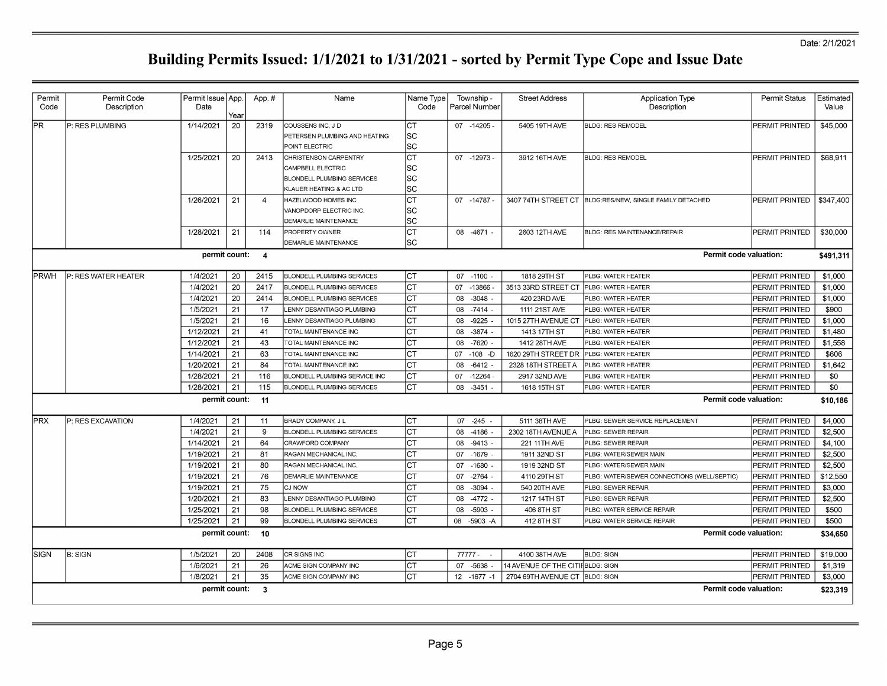| Permit<br>Code | Permit Code<br>Description | Permit Issue App.<br>Date |      | App.#          | Name                              | Name Type<br>Code | Township -<br>Parcel Number | <b>Street Address</b>             | <b>Application Type</b><br>Description                   | <b>Permit Status</b>  | Estimated<br>Value |
|----------------|----------------------------|---------------------------|------|----------------|-----------------------------------|-------------------|-----------------------------|-----------------------------------|----------------------------------------------------------|-----------------------|--------------------|
|                |                            |                           | Year |                |                                   |                   |                             |                                   |                                                          |                       |                    |
| lPR.           | P: RES PLUMBING            | 1/14/2021                 | 20   | 2319           | COUSSENS INC, J D                 | Іст               | 07 -14205 -                 | 5405 19TH AVE                     | <b>BLDG: RES REMODEL</b>                                 | PERMIT PRINTED        | \$45,000           |
|                |                            |                           |      |                | PETERSEN PLUMBING AND HEATING     | SC                |                             |                                   |                                                          |                       |                    |
|                |                            |                           |      |                | POINT ELECTRIC                    | lsc               |                             |                                   |                                                          |                       |                    |
|                |                            | 1/25/2021                 | 20   | 2413           | CHRISTENSON CARPENTRY             | lст               | 07 -12973                   | 3912 16TH AVE                     | <b>BLDG: RES REMODEL</b>                                 | PERMIT PRINTED        | \$68,911           |
|                |                            |                           |      |                | CAMPBELL ELECTRIC                 | SC                |                             |                                   |                                                          |                       |                    |
|                |                            |                           |      |                | <b>BLONDELL PLUMBING SERVICES</b> | sc                |                             |                                   |                                                          |                       |                    |
|                |                            |                           |      |                | KLAUER HEATING & AC LTD           | lsc               |                             |                                   |                                                          |                       |                    |
|                |                            | 1/26/2021                 | 21   | $\overline{4}$ | HAZELWOOD HOMES INC               | Iст               | 07 -14787                   |                                   | 3407 74TH STREET CT BLDG:RES/NEW, SINGLE FAMILY DETACHED | PERMIT PRINTED        | \$347,400          |
|                |                            |                           |      |                | VANOPDORP ELECTRIC INC.           | SC                |                             |                                   |                                                          |                       |                    |
|                |                            |                           |      |                | <b>DEMARLIE MAINTENANCE</b>       | lsc               |                             |                                   |                                                          |                       |                    |
|                |                            | 1/28/2021                 | 21   | 114            | PROPERTY OWNER                    | lст               | 08 -4671 -                  | 2603 12TH AVE                     | BLDG: RES MAINTENANCE/REPAIR                             | PERMIT PRINTED        | \$30,000           |
|                |                            |                           |      |                | DEMARLIE MAINTENANCE              | lsc               |                             |                                   |                                                          |                       |                    |
|                |                            | permit count:             |      | $\overline{4}$ |                                   |                   |                             |                                   | Permit code valuation:                                   |                       | \$491,311          |
| PRWH           | P: RES WATER HEATER        | 1/4/2021                  | 20   | 2415           | <b>BLONDELL PLUMBING SERVICES</b> | Iст               | 07 -1100 -                  | 1818 29TH ST                      | PLBG: WATER HEATER                                       | PERMIT PRINTED        | \$1,000            |
|                |                            | 1/4/2021                  | 20   | 2417           | <b>BLONDELL PLUMBING SERVICES</b> | Iст               | -13866<br>07                | 3513 33RD STREET CT               | PLBG: WATER HEATER                                       | PERMIT PRINTED        | \$1,000            |
|                |                            | 1/4/2021                  | 20   | 2414           | <b>BLONDELL PLUMBING SERVICES</b> | Iст               | 08 - 3048 -                 | 420 23RD AVE                      | PLBG: WATER HEATER                                       | PERMIT PRINTED        | \$1,000            |
|                |                            | 1/5/2021                  | 21   | 17             | LENNY DESANTIAGO PLUMBING         | Iст               | $-7414$<br>08               | 1111 21ST AVE                     | PLBG: WATER HEATER                                       | PERMIT PRINTED        | \$900              |
|                |                            | 1/5/2021                  | 21   | 16             | LENNY DESANTIAGO PLUMBING         | Iст               | $-9225$<br>08               | 1015 27TH AVENUE CT               | PLBG: WATER HEATER                                       | PERMIT PRINTED        | \$1,000            |
|                |                            | 1/12/2021                 | 21   | 41             | TOTAL MAINTENANCE INC             | Iст               | 08<br>$-3874$               | 1413 17TH ST                      | PLBG: WATER HEATER                                       | <b>PERMIT PRINTED</b> | \$1,480            |
|                |                            | 1/12/2021                 | 21   | 43             | TOTAL MAINTENANCE INC             | ∣ст               | -7620 -<br>08               | 1412 28TH AVE                     | PLBG: WATER HEATER                                       | PERMIT PRINTED        | \$1,558            |
|                |                            | 1/14/2021                 | 21   | 63             | TOTAL MAINTENANCE INC             | IСТ               | 07 -108 -D                  | 1620 29TH STREET DR               | PLBG: WATER HEATER                                       | PERMIT PRINTED        | \$606              |
|                |                            | 1/20/2021                 | 21   | 84             | TOTAL MAINTENANCE INC             | Iст               | $-6412$<br>08               | 2328 18TH STREET A                | PLBG: WATER HEATER                                       | PERMIT PRINTED        | \$1,642            |
|                |                            | 1/28/2021                 | 21   | 116            | BLONDELL PLUMBING SERVICE INC     | Iст               | 07 -12264                   | 2917 32ND AVE                     | PLBG: WATER HEATER                                       | PERMIT PRINTED        | \$0                |
|                |                            | 1/28/2021                 | 21   | 115            | <b>BLONDELL PLUMBING SERVICES</b> | lст               | 08 - 3451                   |                                   |                                                          | PERMIT PRINTED        | \$0                |
|                |                            |                           |      |                |                                   |                   |                             | 1618 15TH ST                      | PLBG: WATER HEATER                                       |                       |                    |
|                |                            | permit count:             |      | 11             |                                   |                   |                             |                                   | Permit code valuation:                                   |                       | \$10,186           |
| <b>PRX</b>     | P: RES EXCAVATION          | 1/4/2021                  | 21   | 11             | <b>BRADY COMPANY, J L</b>         | Iст               | $07 -245 -$                 | 5111 38TH AVE                     | PLBG: SEWER SERVICE REPLACEMENT                          | PERMIT PRINTED        | \$4,000            |
|                |                            | 1/4/2021                  | 21   | 9              | <b>BLONDELL PLUMBING SERVICES</b> | Iст               | 08<br>$-4186$               | 2302 18TH AVENUE A                | PLBG: SEWER REPAIR                                       | PERMIT PRINTED        | \$2,500            |
|                |                            | 1/14/2021                 | 21   | 64             | CRAWFORD COMPANY                  | IСТ               | 08<br>$-9413$               | 221 11TH AVE                      | PLBG: SEWER REPAIR                                       | PERMIT PRINTED        | \$4,100            |
|                |                            | 1/19/2021                 | 21   | 81             | RAGAN MECHANICAL INC.             | Iст               | $-1679$ -<br>07             | 1911 32ND ST                      | PLBG: WATER/SEWER MAIN                                   | PERMIT PRINTED        | \$2,500            |
|                |                            | 1/19/2021                 | 21   | 80             | RAGAN MECHANICAL INC.             | Iст               | 07 -1680 -                  | 1919 32ND ST                      | PLBG: WATER/SEWER MAIN                                   | PERMIT PRINTED        | \$2.500            |
|                |                            | 1/19/2021                 | 21   | 76             | DEMARLIE MAINTENANCE              | Iст               | 07 - 2764                   | 4110 29TH ST                      | PLBG: WATER/SEWER CONNECTIONS (WELL/SEPTIC)              | PERMIT PRINTED        | \$12,550           |
|                |                            | 1/19/2021                 | 21   | 75             | CJ NOW                            | IСТ               | 08<br>$-3094$               | 540 20TH AVE                      | PLBG: SEWER REPAIR                                       | PERMIT PRINTED        | \$3,000            |
|                |                            | 1/20/2021                 | 21   | 83             | LENNY DESANTIAGO PLUMBING         | Iст               | 08<br>$-4772$               | 1217 14TH ST                      | PLBG: SEWER REPAIR                                       | PERMIT PRINTED        | \$2,500            |
|                |                            | 1/25/2021                 | 21   | 98             | <b>BLONDELL PLUMBING SERVICES</b> | Iст               | $-5903$ -<br>08             | 406 8TH ST                        | PLBG: WATER SERVICE REPAIR                               | PERMIT PRINTED        | \$500              |
|                |                            | 1/25/2021                 | 21   | 99             | <b>BLONDELL PLUMBING SERVICES</b> | Iст               | 08 -5903 -A                 | 412 8TH ST                        | PLBG: WATER SERVICE REPAIR                               | PERMIT PRINTED        | \$500              |
|                |                            | permit count:             |      | 10             |                                   |                   |                             |                                   | Permit code valuation:                                   |                       | \$34,650           |
|                |                            |                           |      |                |                                   |                   |                             |                                   |                                                          |                       |                    |
| <b>SIGN</b>    | <b>B: SIGN</b>             | 1/5/2021                  | 20   | 2408           | CR SIGNS INC                      | Iст               | $77777 - -$                 | 4100 38TH AVE                     | <b>BLDG: SIGN</b>                                        | PERMIT PRINTED        | \$19,000           |
|                |                            | 1/6/2021                  | 21   | 26             | ACME SIGN COMPANY INC             | Iст               | 07 -5638 -                  | 14 AVENUE OF THE CITIE BLDG: SIGN |                                                          | PERMIT PRINTED        | \$1,319            |
|                |                            | 1/8/2021                  | 21   | 35             | ACME SIGN COMPANY INC             | Iст               | 12 - 1677 - 1               | 2704 69TH AVENUE CT BLDG: SIGN    |                                                          | PERMIT PRINTED        | \$3,000            |
|                |                            | permit count:             |      | $\mathbf{3}$   |                                   |                   |                             |                                   | Permit code valuation:                                   |                       | \$23,319           |